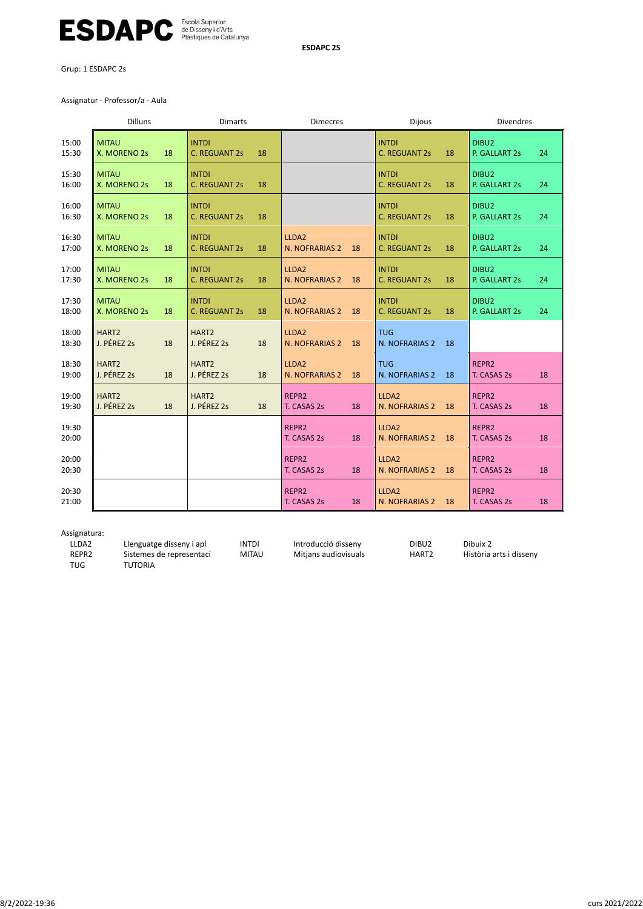

**ESDAPC 2S**

Grup: 1 ESDAPC 2s

Assignatur ‐ Professor/a ‐ Aula

|                | <b>Dilluns</b>                         | <b>Dimarts</b>                   |    | <b>Dimecres</b>                           | <b>Dijous</b>                              | <b>Divendres</b>                         |
|----------------|----------------------------------------|----------------------------------|----|-------------------------------------------|--------------------------------------------|------------------------------------------|
| 15:00<br>15:30 | <b>MITAU</b><br>X. MORENO 2s<br>18     | <b>INTDI</b><br>C. REGUANT 2s    | 18 |                                           | <b>INTDI</b><br>18<br>C. REGUANT 2s        | DIBU2<br>24<br>P. GALLART 2s             |
| 15:30<br>16:00 | <b>MITAU</b><br>X. MORENO 2s<br>18     | <b>INTDI</b><br>C. REGUANT 2s    | 18 |                                           | <b>INTDI</b><br><b>C. REGUANT 2s</b><br>18 | DIBU2<br>P. GALLART 2s<br>24             |
| 16:00<br>16:30 | <b>MITAU</b><br>X. MORENO 2s<br>18     | <b>INTDI</b><br>C. REGUANT 2s    | 18 |                                           | <b>INTDI</b><br>18<br>C. REGUANT 2s        | DIBU2<br>P. GALLART 2s<br>24             |
| 16:30<br>17:00 | <b>MITAU</b><br>18<br>X. MORENO 2s     | <b>INTDI</b><br>C. REGUANT 2s    | 18 | LLDA2<br>N. NOFRARIAS 2<br>18             | <b>INTDI</b><br>C. REGUANT 2s<br>18        | DIBU2<br>24<br>P. GALLART 2s             |
| 17:00<br>17:30 | <b>MITAU</b><br>X. MORENO 2s<br>18     | <b>INTDI</b><br>C. REGUANT 2s    | 18 | LLDA2<br>N. NOFRARIAS 2<br>18             | <b>INTDI</b><br><b>C. REGUANT 2s</b><br>18 | DIBU <sub>2</sub><br>P. GALLART 2s<br>24 |
| 17:30<br>18:00 | <b>MITAU</b><br>X. MORENO 2s<br>18     | <b>INTDI</b><br>C. REGUANT 2s    | 18 | LLDA2<br>N. NOFRARIAS 2<br>18             | <b>INTDI</b><br>C. REGUANT 2s<br>18        | DIBU2<br>24<br>P. GALLART 2s             |
| 18:00<br>18:30 | HART <sub>2</sub><br>J. PÉREZ 2s<br>18 | HART <sub>2</sub><br>J. PÉREZ 2s | 18 | LLDA <sub>2</sub><br>N. NOFRARIAS 2<br>18 | <b>TUG</b><br>N. NOFRARIAS 2<br>18         |                                          |
| 18:30<br>19:00 | HART <sub>2</sub><br>J. PÉREZ 2s<br>18 | HART <sub>2</sub><br>J. PÉREZ 2s | 18 | LLDA2<br>N. NOFRARIAS 2<br>18             | <b>TUG</b><br>N. NOFRARIAS 2<br>18         | REPR2<br>18<br>T. CASAS 2s               |
| 19:00<br>19:30 | HART <sub>2</sub><br>J. PÉREZ 2s<br>18 | HART <sub>2</sub><br>J. PÉREZ 2s | 18 | REPR2<br>T. CASAS 2s<br>18                | LLDA2<br>N. NOFRARIAS 2<br>18              | REPR <sub>2</sub><br>T. CASAS 2s<br>18   |
| 19:30<br>20:00 |                                        |                                  |    | REPR2<br>18<br>T. CASAS 2s                | LLDA2<br>N. NOFRARIAS 2<br>18              | REPR2<br>T. CASAS 2s<br>18               |
| 20:00<br>20:30 |                                        |                                  |    | REPR2<br>18<br>T. CASAS 2s                | LLDA2<br>N. NOFRARIAS 2<br>18              | REPR <sub>2</sub><br>T. CASAS 2s<br>18   |
| 20:30<br>21:00 |                                        |                                  |    | REPR2<br>T. CASAS 2s<br>18                | LLDA2<br>N. NOFRARIAS 2<br>18              | REPR2<br>T. CASAS 2s<br>18               |

Assignatura:

| LLDA2             | Llenguatge disseny i apl | <b>INTDI</b> | Introducció disseny  | DIBU <sub>2</sub> | Dibuix 2                |
|-------------------|--------------------------|--------------|----------------------|-------------------|-------------------------|
| REPR <sub>2</sub> | Sistemes de representaci | <b>MITAU</b> | Mitians audiovisuals | HART <sub>2</sub> | Història arts i dissenv |
| TUG               | TUTORIA                  |              |                      |                   |                         |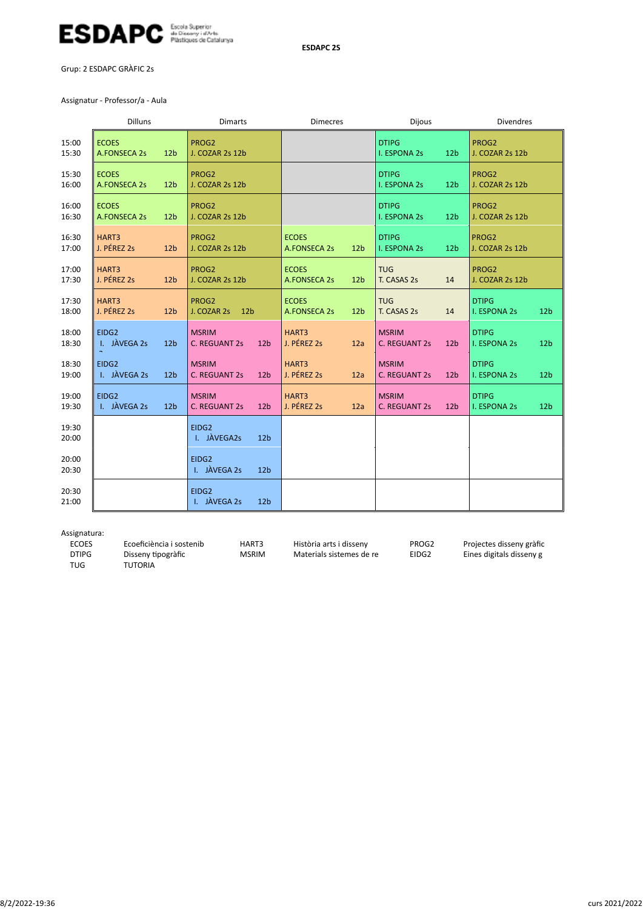

Grup: 2 ESDAPC GRÀFIC 2s

Assignatur ‐ Professor/a ‐ Aula

|                | <b>Dilluns</b>                      |                 | <b>Dimarts</b>                                   |                                                 | <b>Dijous</b>                                           | <b>Divendres</b>                                       |  |
|----------------|-------------------------------------|-----------------|--------------------------------------------------|-------------------------------------------------|---------------------------------------------------------|--------------------------------------------------------|--|
| 15:00<br>15:30 | <b>ECOES</b><br><b>A.FONSECA 2s</b> | 12 <sub>b</sub> | PROG2<br>J. COZAR 2s 12b                         |                                                 | <b>DTIPG</b><br>12 <sub>b</sub><br><b>I. ESPONA 2s</b>  | PROG2<br>J. COZAR 2s 12b                               |  |
| 15:30<br>16:00 | <b>ECOES</b><br><b>A.FONSECA 2s</b> | 12 <sub>b</sub> | PROG2<br>J. COZAR 2s 12b                         |                                                 | <b>DTIPG</b><br>12 <sub>b</sub><br>I. ESPONA 2s         | PROG2<br>J. COZAR 2s 12b                               |  |
| 16:00<br>16:30 | <b>ECOES</b><br><b>A.FONSECA 2s</b> | 12 <sub>b</sub> | PROG2<br>J. COZAR 2s 12b                         |                                                 | <b>DTIPG</b><br><b>I. ESPONA 2s</b><br>12 <sub>b</sub>  | PROG2<br>J. COZAR 2s 12b                               |  |
| 16:30<br>17:00 | HART3<br>J. PÉREZ 2s                | 12 <sub>b</sub> | PROG2<br>J. COZAR 2s 12b                         | <b>ECOES</b><br>A.FONSECA 2s<br>12 <sub>b</sub> | <b>DTIPG</b><br><b>I. ESPONA 2s</b><br>12 <sub>b</sub>  | PROG2<br>J. COZAR 2s 12b                               |  |
| 17:00<br>17:30 | HART3<br>J. PÉREZ 2s                | 12 <sub>b</sub> | PROG2<br>J. COZAR 2s 12b                         | <b>ECOES</b><br>A.FONSECA 2s<br>12 <sub>b</sub> | <b>TUG</b><br>T. CASAS 2s<br>14                         | PROG2<br>J. COZAR 2s 12b                               |  |
| 17:30<br>18:00 | HART3<br>J. PÉREZ 2s                | 12 <sub>b</sub> | PROG2<br>J. COZAR 2s<br>12 <sub>b</sub>          | <b>ECOES</b><br>A.FONSECA 2s<br>12 <sub>b</sub> | <b>TUG</b><br>T. CASAS 2s<br>14                         | <b>DTIPG</b><br><b>I. ESPONA 2s</b><br>12 <sub>b</sub> |  |
| 18:00<br>18:30 | EIDG2<br>I. JÀVEGA 2s               | 12 <sub>b</sub> | <b>MSRIM</b><br>C. REGUANT 2s<br>12 <sub>b</sub> | HART3<br>J. PÉREZ 2s<br>12a                     | <b>MSRIM</b><br><b>C. REGUANT 2s</b><br>12 <sub>b</sub> | <b>DTIPG</b><br>I. ESPONA 2s<br>12 <sub>b</sub>        |  |
| 18:30<br>19:00 | EIDG2<br>I. JÀVEGA 2s               | 12 <sub>b</sub> | <b>MSRIM</b><br>C. REGUANT 2s<br>12 <sub>b</sub> | HART3<br>J. PÉREZ 2s<br>12a                     | <b>MSRIM</b><br><b>C. REGUANT 2s</b><br>12 <sub>b</sub> | <b>DTIPG</b><br>I. ESPONA 2s<br>12 <sub>b</sub>        |  |
| 19:00<br>19:30 | EIDG2<br>I. JÀVEGA 2s               | 12 <sub>b</sub> | <b>MSRIM</b><br>C. REGUANT 2s<br>12 <sub>b</sub> | HART3<br>J. PÉREZ 2s<br>12a                     | <b>MSRIM</b><br><b>C. REGUANT 2s</b><br>12 <sub>b</sub> | <b>DTIPG</b><br>I. ESPONA 2s<br>12 <sub>b</sub>        |  |
| 19:30<br>20:00 |                                     |                 | EIDG2<br>I. JÀVEGA2s<br>12 <sub>b</sub>          |                                                 |                                                         |                                                        |  |
| 20:00<br>20:30 |                                     |                 | EIDG2<br>I. JÀVEGA 2s<br>12 <sub>b</sub>         |                                                 |                                                         |                                                        |  |
| 20:30<br>21:00 |                                     |                 | EIDG2<br>I. JÀVEGA 2s<br>12 <sub>b</sub>         |                                                 |                                                         |                                                        |  |

Assignatura:<br>ECOES ECOES Ecoeficiència i sostenib HART3 Història arts i disseny PROG2 Projectes disseny gràfic<br>1991 DTIPG Disseny tipogràfic MSRIM Materials sistemes de re EIDG2 Eines digitals disseny g DTIPG Disseny Ɵpogràfic MSRIM Materials sistemes de re EIDG2 Eines digitals disseny g TUTORIA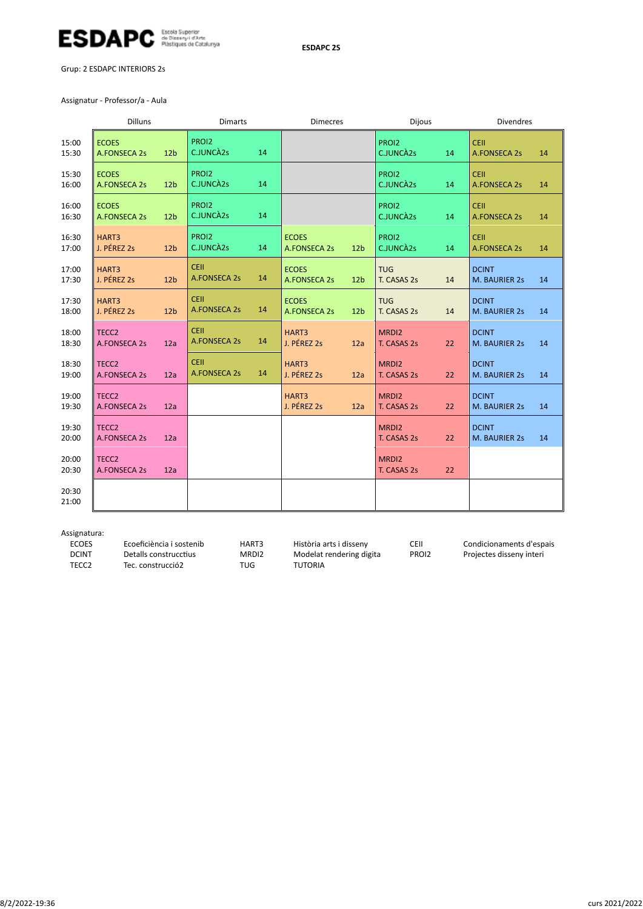

Grup: 2 ESDAPC INTERIORS 2s

Assignatur ‐ Professor/a ‐ Aula

|                | Dilluns                             |                 | <b>Dimarts</b>                     |    | <b>Dimecres</b>                     |                 | <b>Dijous</b>             |    | <b>Divendres</b>                   |    |
|----------------|-------------------------------------|-----------------|------------------------------------|----|-------------------------------------|-----------------|---------------------------|----|------------------------------------|----|
| 15:00<br>15:30 | <b>ECOES</b><br>A.FONSECA 2s        | 12 <sub>b</sub> | PROI2<br>C.JUNCA2s                 | 14 |                                     |                 | PROI2<br>C.JUNCA2s        | 14 | CEIL<br><b>A.FONSECA 2s</b>        | 14 |
| 15:30<br>16:00 | <b>ECOES</b><br>A.FONSECA 2s        | 12 <sub>b</sub> | PROI2<br>C.JUNCA2s                 | 14 |                                     |                 | PROI2<br>C.JUNCA2s        | 14 | CEIL<br><b>A.FONSECA 2s</b>        | 14 |
| 16:00<br>16:30 | <b>ECOES</b><br><b>A.FONSECA 2s</b> | 12 <sub>b</sub> | PROI2<br>C.JUNCA2s                 | 14 |                                     |                 | PROI2<br>C.JUNCA2s        | 14 | <b>CEII</b><br><b>A.FONSECA 2s</b> | 14 |
| 16:30<br>17:00 | HART3<br>J. PÉREZ 2s                | 12 <sub>b</sub> | PROI2<br>C.JUNCA2s                 | 14 | <b>ECOES</b><br>A.FONSECA 2s        | 12 <sub>b</sub> | PROI2<br>C.JUNCA2s        | 14 | CEIL<br><b>A.FONSECA 2s</b>        | 14 |
| 17:00<br>17:30 | HART3<br>J. PÉREZ 2s                | 12 <sub>b</sub> | <b>CEIL</b><br><b>A.FONSECA 2s</b> | 14 | <b>ECOES</b><br>A.FONSECA 2s        | 12 <sub>b</sub> | <b>TUG</b><br>T. CASAS 2s | 14 | <b>DCINT</b><br>M. BAURIER 2s      | 14 |
| 17:30<br>18:00 | HART3<br>J. PÉREZ 2s                | 12 <sub>b</sub> | <b>CEII</b><br><b>A.FONSECA 2s</b> | 14 | <b>ECOES</b><br><b>A.FONSECA 2s</b> | 12 <sub>b</sub> | <b>TUG</b><br>T. CASAS 2s | 14 | <b>DCINT</b><br>M. BAURIER 2s      | 14 |
| 18:00<br>18:30 | TECC <sub>2</sub><br>A.FONSECA 2s   | 12a             | <b>CEIL</b><br><b>A.FONSECA 2s</b> | 14 | HART3<br>J. PÉREZ 2s                | 12a             | MRDI2<br>T. CASAS 2s      | 22 | <b>DCINT</b><br>M. BAURIER 2s      | 14 |
| 18:30<br>19:00 | TECC <sub>2</sub><br>A.FONSECA 2s   | 12a             | <b>CEIL</b><br>A.FONSECA 2s        | 14 | HART3<br>J. PÉREZ 2s                | 12a             | MRDI2<br>T. CASAS 2s      | 22 | <b>DCINT</b><br>M. BAURIER 2s      | 14 |
| 19:00<br>19:30 | TECC <sub>2</sub><br>A.FONSECA 2s   | 12a             |                                    |    | HART3<br>J. PÉREZ 2s                | 12a             | MRDI2<br>T. CASAS 2s      | 22 | <b>DCINT</b><br>M. BAURIER 2s      | 14 |
| 19:30<br>20:00 | TECC <sub>2</sub><br>A.FONSECA 2s   | 12a             |                                    |    |                                     |                 | MRDI2<br>T. CASAS 2s      | 22 | <b>DCINT</b><br>M. BAURIER 2s      | 14 |
| 20:00<br>20:30 | TECC <sub>2</sub><br>A.FONSECA 2s   | 12a             |                                    |    |                                     |                 | MRDI2<br>T. CASAS 2s      | 22 |                                    |    |
| 20:30<br>21:00 |                                     |                 |                                    |    |                                     |                 |                           |    |                                    |    |

Assignatura:

ECOES Ecoeficiència i sostenib HART3 Història arts i disseny CEII Condicionaments d'espais<br>
DCINT Detalls construcctius MRDI2 Modelat rendering digita PROI2 Projectes disseny interi DCINT Detalls construcctius MRDI2 Modelat rendering digita<br>
TECC2 Tec. construcció2 TUG TUTORIA Tec. construcció2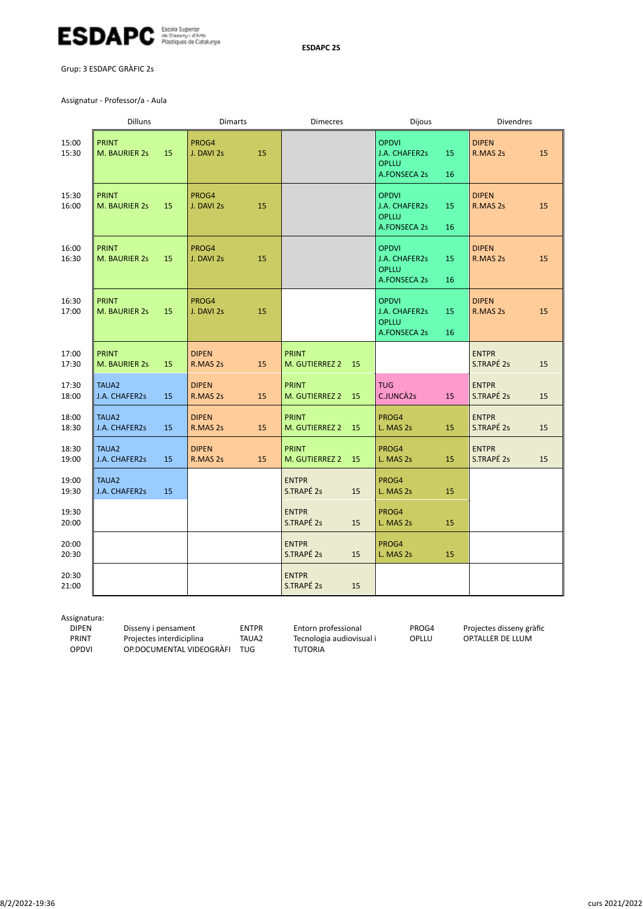

Grup: 3 ESDAPC GRÀFIC 2s

Assignatur ‐ Professor/a ‐ Aula

|                | <b>Dilluns</b>                            |    | <b>Dimarts</b>           |    | <b>Dimecres</b>                   |           | <b>Dijous</b>                                                        |          | <b>Divendres</b>           |    |
|----------------|-------------------------------------------|----|--------------------------|----|-----------------------------------|-----------|----------------------------------------------------------------------|----------|----------------------------|----|
| 15:00<br>15:30 | <b>PRINT</b><br>M. BAURIER 2s             | 15 | PROG4<br>J. DAVI 2s      | 15 |                                   |           | <b>OPDVI</b><br>J.A. CHAFER2s<br><b>OPLLU</b><br><b>A.FONSECA 2s</b> | 15<br>16 | <b>DIPEN</b><br>R.MAS 2s   | 15 |
| 15:30<br>16:00 | <b>PRINT</b><br>M. BAURIER 2s             | 15 | PROG4<br>J. DAVI 2s      | 15 |                                   |           | <b>OPDVI</b><br>J.A. CHAFER2s<br><b>OPLLU</b><br><b>A.FONSECA 2s</b> | 15<br>16 | <b>DIPEN</b><br>R.MAS 2s   | 15 |
| 16:00<br>16:30 | <b>PRINT</b><br>M. BAURIER 2s<br>15       |    | PROG4<br>J. DAVI 2s      | 15 |                                   |           | <b>OPDVI</b><br>J.A. CHAFER2s<br><b>OPLLU</b><br>A.FONSECA 2s        | 15<br>16 | <b>DIPEN</b><br>R.MAS 2s   | 15 |
| 16:30<br>17:00 | <b>PRINT</b><br>M. BAURIER 2s             | 15 | PROG4<br>J. DAVI 2s      | 15 |                                   |           | <b>OPDVI</b><br>J.A. CHAFER2s<br><b>OPLLU</b><br><b>A.FONSECA 2s</b> | 15<br>16 | <b>DIPEN</b><br>R.MAS 2s   | 15 |
| 17:00<br>17:30 | <b>PRINT</b><br>M. BAURIER 2s             | 15 | <b>DIPEN</b><br>R.MAS 2s | 15 | <b>PRINT</b><br>M. GUTIERREZ 2    | <b>15</b> |                                                                      |          | <b>ENTPR</b><br>S.TRAPÉ 2s | 15 |
| 17:30<br>18:00 | TAUA <sub>2</sub><br><b>J.A. CHAFER2s</b> | 15 | <b>DIPEN</b><br>R.MAS 2s | 15 | <b>PRINT</b><br>M. GUTIERREZ 2    | 15        | <b>TUG</b><br>C.JUNCA2s                                              | 15       | <b>ENTPR</b><br>S.TRAPÉ 2s | 15 |
| 18:00<br>18:30 | TAUA <sub>2</sub><br>J.A. CHAFER2s        | 15 | <b>DIPEN</b><br>R.MAS 2s | 15 | <b>PRINT</b><br>M. GUTIERREZ 2 15 |           | PROG4<br>L. MAS 2s                                                   | 15       | <b>ENTPR</b><br>S.TRAPÉ 2s | 15 |
| 18:30<br>19:00 | TAUA <sub>2</sub><br>J.A. CHAFER2s        | 15 | <b>DIPEN</b><br>R.MAS 2s | 15 | <b>PRINT</b><br>M. GUTIERREZ 2    | <b>15</b> | PROG4<br>L. MAS 2s                                                   | 15       | <b>ENTPR</b><br>S.TRAPÉ 2s | 15 |
| 19:00<br>19:30 | TAUA <sub>2</sub><br>J.A. CHAFER2s        | 15 |                          |    | <b>ENTPR</b><br>S.TRAPÉ 2s        | 15        | PROG4<br>L. MAS 2s                                                   | 15       |                            |    |
| 19:30<br>20:00 |                                           |    |                          |    | <b>ENTPR</b><br>S.TRAPÉ 2s        | 15        | PROG4<br>L. MAS 2s                                                   | 15       |                            |    |
| 20:00<br>20:30 |                                           |    |                          |    | <b>ENTPR</b><br>S.TRAPÉ 2s        | 15        | PROG4<br>L. MAS 2s                                                   | 15       |                            |    |
| 20:30<br>21:00 |                                           |    |                          |    | <b>ENTPR</b><br>S.TRAPÉ 2s        | 15        |                                                                      |          |                            |    |

Assignatura:

DIPEN Disseny i pensament ENTPR Entorn professional PROG4 Projectes disseny gràfic<br>PRINT Projectes interdiciplina TAUA2 Tecnologia audiovisual i OPLLU OP.TALLER DE LLUM PRINT Projectes interdiciplina TAUA2 Tecnologia audiovisual i<br>OPDVI OP.DOCUMENTAL VIDEOGRAFI TUG TUTORIA OP.DOCUMENTAL VIDEOGRÀFI TUG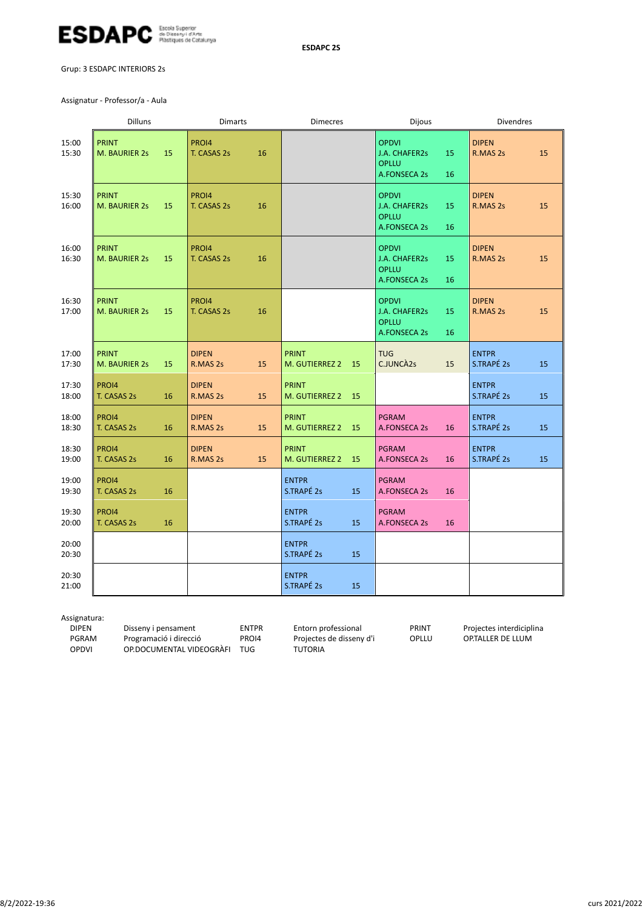

Grup: 3 ESDAPC INTERIORS 2s

Assignatur ‐ Professor/a ‐ Aula

|                | Dilluns                             | <b>Dimarts</b>                 | <b>Dimecres</b>                      | <b>Dijous</b>                                                                    | <b>Divendres</b>                 |
|----------------|-------------------------------------|--------------------------------|--------------------------------------|----------------------------------------------------------------------------------|----------------------------------|
| 15:00<br>15:30 | <b>PRINT</b><br>15<br>M. BAURIER 2s | PROI4<br>16<br>T. CASAS 2s     |                                      | <b>OPDVI</b><br>15<br>J.A. CHAFER2s<br><b>OPLLU</b><br><b>A.FONSECA 2s</b><br>16 | <b>DIPEN</b><br>15<br>R.MAS 2s   |
| 15:30<br>16:00 | <b>PRINT</b><br>15<br>M. BAURIER 2s | PRO14<br>T. CASAS 2s<br>16     |                                      | <b>OPDVI</b><br>J.A. CHAFER2s<br>15<br><b>OPLLU</b><br><b>A.FONSECA 2s</b><br>16 | <b>DIPEN</b><br>15<br>R.MAS 2s   |
| 16:00<br>16:30 | <b>PRINT</b><br>M. BAURIER 2s<br>15 | PROI4<br>T. CASAS 2s<br>16     |                                      | <b>OPDVI</b><br>J.A. CHAFER2s<br>15<br><b>OPLLU</b><br>A.FONSECA 2s<br>16        | <b>DIPEN</b><br>15<br>R.MAS 2s   |
| 16:30<br>17:00 | <b>PRINT</b><br>M. BAURIER 2s<br>15 | PROI4<br>T. CASAS 2s<br>16     |                                      | <b>OPDVI</b><br>J.A. CHAFER2s<br>15<br><b>OPLLU</b><br>A.FONSECA 2s<br>16        | <b>DIPEN</b><br>15<br>R.MAS 2s   |
| 17:00<br>17:30 | <b>PRINT</b><br>M. BAURIER 2s<br>15 | <b>DIPEN</b><br>R.MAS 2s<br>15 | <b>PRINT</b><br>M. GUTIERREZ 2<br>15 | <b>TUG</b><br>C.JUNCA2s<br>15                                                    | <b>ENTPR</b><br>S.TRAPÉ 2s<br>15 |
| 17:30<br>18:00 | PRO14<br>T. CASAS 2s<br>16          | <b>DIPEN</b><br>R.MAS 2s<br>15 | <b>PRINT</b><br>M. GUTIERREZ 2<br>15 |                                                                                  | <b>ENTPR</b><br>S.TRAPÉ 2s<br>15 |
| 18:00<br>18:30 | PRO14<br>T. CASAS 2s<br>16          | <b>DIPEN</b><br>R.MAS 2s<br>15 | <b>PRINT</b><br>M. GUTIERREZ 2<br>15 | <b>PGRAM</b><br>A.FONSECA 2s<br>16                                               | <b>ENTPR</b><br>S.TRAPÉ 2s<br>15 |
| 18:30<br>19:00 | PRO14<br>T. CASAS 2s<br>16          | <b>DIPEN</b><br>R.MAS 2s<br>15 | <b>PRINT</b><br>M. GUTIERREZ 2<br>15 | <b>PGRAM</b><br>A.FONSECA 2s<br>16                                               | <b>ENTPR</b><br>S.TRAPÉ 2s<br>15 |
| 19:00<br>19:30 | PROI4<br>T. CASAS 2s<br>16          |                                | <b>ENTPR</b><br>S.TRAPÉ 2s<br>15     | <b>PGRAM</b><br>A.FONSECA 2s<br>16                                               |                                  |
| 19:30<br>20:00 | PROI4<br>T. CASAS 2s<br>16          |                                | <b>ENTPR</b><br>S.TRAPÉ 2s<br>15     | <b>PGRAM</b><br>A.FONSECA 2s<br>16                                               |                                  |
| 20:00<br>20:30 |                                     |                                | <b>ENTPR</b><br>S.TRAPÉ 2s<br>15     |                                                                                  |                                  |
| 20:30<br>21:00 |                                     |                                | <b>ENTPR</b><br>S.TRAPÉ 2s<br>15     |                                                                                  |                                  |

Assignatura:

DIPEN Disseny i pensament ENTPR Entorn professional PRINT Projectes interdiciplina<br>PGRAM Programació i direcció PROI4 Projectes de disseny d'i OPLLU OP.TALLER DE LLUM PGRAM Programació i direcció PROI4 Projectes de disseny d'i OPLLU OP.TALLER DE LLUM OP.DOCUMENTAL VIDEOGRÀFI TUG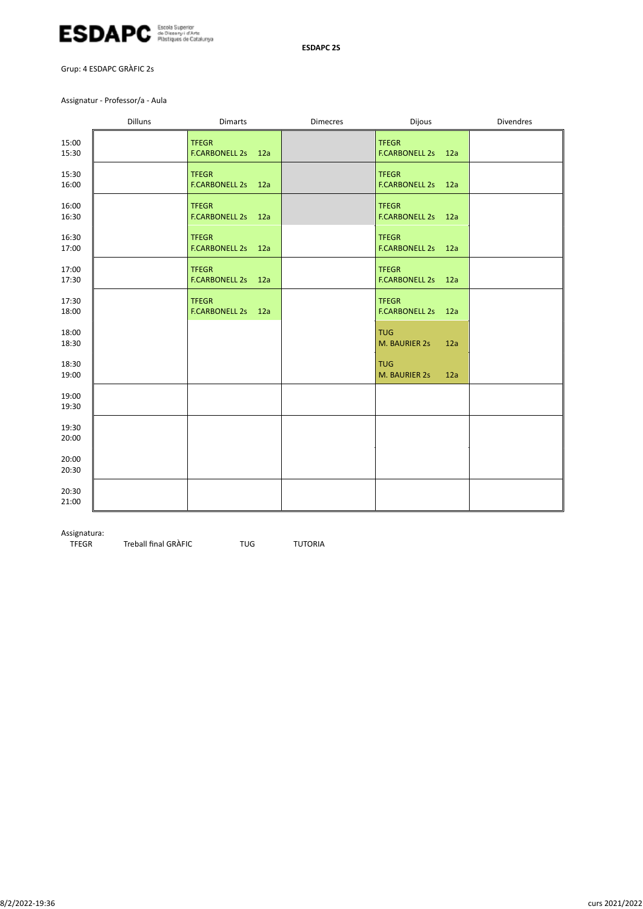

Grup: 4 ESDAPC GRÀFIC 2s

Assignatur ‐ Professor/a ‐ Aula

|                | <b>Dilluns</b> | <b>Dimarts</b>                     | <b>Dimecres</b> | Dijous                             | Divendres |
|----------------|----------------|------------------------------------|-----------------|------------------------------------|-----------|
| 15:00<br>15:30 |                | <b>TFEGR</b><br>F.CARBONELL 2s 12a |                 | <b>TFEGR</b><br>F.CARBONELL 2s 12a |           |
| 15:30<br>16:00 |                | <b>TFEGR</b><br>F.CARBONELL 2s 12a |                 | <b>TFEGR</b><br>F.CARBONELL 2s 12a |           |
| 16:00<br>16:30 |                | <b>TFEGR</b><br>F.CARBONELL 2s 12a |                 | <b>TFEGR</b><br>F.CARBONELL 2s 12a |           |
| 16:30<br>17:00 |                | <b>TFEGR</b><br>F.CARBONELL 2s 12a |                 | <b>TFEGR</b><br>F.CARBONELL 2s 12a |           |
| 17:00<br>17:30 |                | <b>TFEGR</b><br>F.CARBONELL 2s 12a |                 | <b>TFEGR</b><br>F.CARBONELL 2s 12a |           |
| 17:30<br>18:00 |                | <b>TFEGR</b><br>F.CARBONELL 2s 12a |                 | <b>TFEGR</b><br>F.CARBONELL 2s 12a |           |
| 18:00<br>18:30 |                |                                    |                 | <b>TUG</b><br>M. BAURIER 2s<br>12a |           |
| 18:30<br>19:00 |                |                                    |                 | <b>TUG</b><br>M. BAURIER 2s<br>12a |           |
| 19:00<br>19:30 |                |                                    |                 |                                    |           |
| 19:30<br>20:00 |                |                                    |                 |                                    |           |
| 20:00<br>20:30 |                |                                    |                 |                                    |           |
| 20:30<br>21:00 |                |                                    |                 |                                    |           |

Assignatura:<br>TFEGR Treball final GRÀFIC TUG TUTORIA